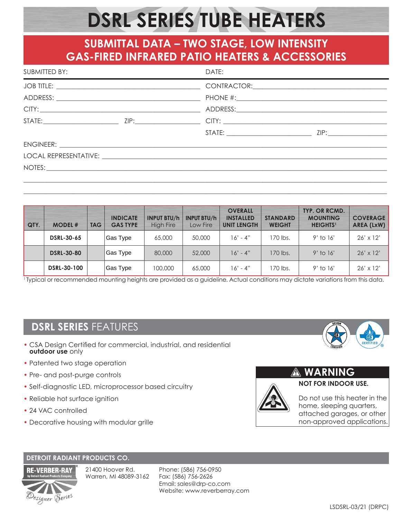# **DSRL SERIES TUBE HEATERS**

# **SUBMITTAL DATA – TWO STAGE, LOW INTENSITY GAS-FIRED INFRARED PATIO HEATERS & ACCESSORIES**

| SUBMITTED BY:<br><u> 1989 - Johann Stoff, amerikansk politiker (d. 1989)</u> | DATE:<br>the control of the control of the control of the control of the control of the control of the control of the control of the control of the control of the control of the control of the control of the control of the control |  |  |  |  |
|------------------------------------------------------------------------------|----------------------------------------------------------------------------------------------------------------------------------------------------------------------------------------------------------------------------------------|--|--|--|--|
|                                                                              |                                                                                                                                                                                                                                        |  |  |  |  |
|                                                                              |                                                                                                                                                                                                                                        |  |  |  |  |
|                                                                              |                                                                                                                                                                                                                                        |  |  |  |  |
|                                                                              |                                                                                                                                                                                                                                        |  |  |  |  |
|                                                                              |                                                                                                                                                                                                                                        |  |  |  |  |
|                                                                              |                                                                                                                                                                                                                                        |  |  |  |  |
|                                                                              |                                                                                                                                                                                                                                        |  |  |  |  |
|                                                                              |                                                                                                                                                                                                                                        |  |  |  |  |
|                                                                              |                                                                                                                                                                                                                                        |  |  |  |  |

| QTY. | <b>MODEL#</b>      | <b>TAG</b> | <b>INDICATE</b><br><b>GAS TYPE</b> | <b>INPUT BTU/h</b><br><b>High Fire</b> | <b>INPUT BTU/h</b><br>Low Fire | <b>OVERALL</b><br><b>INSTALLED</b><br><b>UNIT LENGTH</b> | <b>STANDARD</b><br><b>WEIGHT</b> | TYP. OR RCMD.<br><b>MOUNTING</b><br><b>HEIGHTS<sup>1</sup></b> | <b>COVERAGE</b><br>AREA (LxW) |
|------|--------------------|------------|------------------------------------|----------------------------------------|--------------------------------|----------------------------------------------------------|----------------------------------|----------------------------------------------------------------|-------------------------------|
|      | <b>DSRL-30-65</b>  |            | Gas Type                           | 65,000                                 | 50,000                         | $16' - 4''$                                              | 170 lbs.                         | $9'$ to $16'$                                                  | $26' \times 12'$              |
|      | <b>DSRL-30-80</b>  |            | Gas Type                           | 80,000                                 | 52,000                         | $16' - 4''$                                              | 170 lbs.                         | $9'$ to 16'                                                    | $26' \times 12'$              |
|      | <b>DSRL-30-100</b> |            | Gas Type                           | 100,000                                | 65,000                         | $16' - 4''$                                              | 170 lbs.                         | $9'$ to 16'                                                    | $26' \times 12'$              |

\_\_\_\_\_\_\_\_\_\_\_\_\_\_\_\_\_\_\_\_\_\_\_\_\_\_\_\_\_\_\_\_\_\_\_\_\_\_\_\_\_\_\_\_\_\_\_\_\_\_\_\_\_\_\_\_\_\_\_\_\_\_\_\_\_\_\_\_\_\_\_\_\_\_\_\_\_\_\_\_\_\_\_\_\_\_\_\_\_\_\_\_\_\_\_\_\_\_\_\_\_\_\_\_\_\_\_\_\_\_\_

1 Typical or recommended mounting heights are provided as a guideline. Actual conditions may dictate variations from this data.

# **DSRL SERIES** FEATURES

- CSA Design Certified for commercial, industrial, and residential **outdoor use** only
- Patented two stage operation
- Pre- and post-purge controls
- Self-diagnostic LED, microprocessor based circuitry
- Reliable hot surface ignition
- 24 VAC controlled
- Decorative housing with modular grille





Do not use this heater in the home, sleeping quarters, attached garages, or other non-approved applications.

**NOT FOR INDOOR USE.** 

**WARNING**

## **DETROIT RADIANT PRODUCTS CO.**



21400 Hoover Rd. Warren, MI 48089-3162 Phone: (586) 756-0950 Fax: (586) 756-2626 Email: sales@drp-co.com Website: www.reverberray.com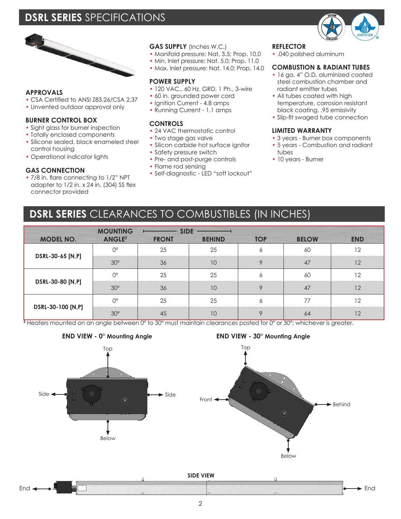# **DSRL SERIES** SPECIFICATIONS



#### **APPROVALS**

- CSA Certified to ANSI Z83.26/CSA 2.37
- Unvented outdoor approval only

#### **BURNER CONTROL BOX**

- Sight glass for burner inspection
- Totally enclosed components
- Silicone sealed, black enameled steel control housing
- Operational indicator lights

#### **GAS CONNECTION**

• 7/8 in. flare connecting to 1/2" NPT adapter to 1/2 in. x 24 in. (304) SS flex connector provided

## **GAS SUPPLY** (Inches W.C.)

- Manifold pressure: Nat. 3.5; Prop. 10.0
- Min. Inlet pressure: Nat. 5.0; Prop. 11.0
- Max. Inlet pressure: Nat. 14.0; Prop. 14.0

## **POWER SUPPLY**

- 120 VAC., 60 Hz. GRD, 1 Ph., 3-wire
- 60 in. grounded power cord
- Ignition Current 4.8 amps
- Running Current 1.1 amps

### **CONTROLS**

- 24 VAC thermostatic control
- Two stage gas valve
- Silicon carbide hot surface ianitor • Safety pressure switch
- Pre- and post-purge controls
- Flame rod sensing
- Self-diagnostic LED "soft lockout"

#### **REFLECTOR**

• .040 polished aluminum

#### **COMBUSTION & RADIANT TUBES**

- 16 ga. 4" O.D. aluminized coated steel combustion chamber and radiant emitter tubes
- All tubes coated with high temperature, corrosion resistant black coating, .95 emissivity
- Slip-fit swaged tube connection

#### **LIMITED WARRANTY**

- 3 years Burner box components
- 5 years Combustion and radiant tubes
- 10 years Burner

# **DSRL SERIES** CLEARANCES TO COMBUSTIBLES (IN INCHES)

|                   | <b>MOUNTING</b>          |              |                                         |     |              |            |
|-------------------|--------------------------|--------------|-----------------------------------------|-----|--------------|------------|
| <b>MODEL NO.</b>  | <b>ANGLE<sup>2</sup></b> | <b>FRONT</b> | <b>BEHIND</b>                           | TOP | <b>BELOW</b> | <b>END</b> |
| DSRL-30-65 [N,P]  |                          |              | 25                                      |     | 60           |            |
|                   | $30^{\circ}$             | 36           |                                         |     |              |            |
| DSRL-30-80 [N,P]  |                          | 25           |                                         |     | 60           |            |
|                   |                          |              |                                         |     |              |            |
| DSRL-30-100 [N,P] |                          |              | 25<br>****************************<br>. |     |              | .          |
|                   |                          |              |                                         |     |              |            |

**2** Heaters mounted on an angle between 0° to 30° must maintain clearances posted for 0° or 30°; whichever is greater.



## **END VIEW - 0° Mounting Angle END VIEW - 30° Mounting Angle**



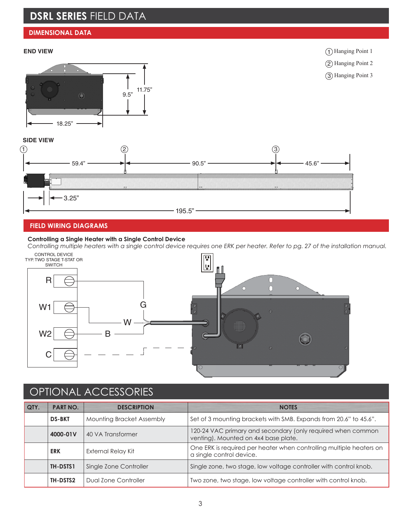# **DSRL SERIES** FIELD DATA

## **DIMENSIONAL DATA**

## **END VIEW**



1 Hanging Point 1

2 Hanging Point 2

3 Hanging Point 3

## **SIDE VIEW**



#### **FIELD WIRING DIAGRAMS**

#### **Controlling a Single Heater with a Single Control Device**

*Controlling multiple heaters with a single control device requires one ERK per heater. Refer to pg. 27 of the installation manual.*



# OPTIONAL ACCESSORIES

| QTY. | <b>PART NO.</b>                    | <b>DESCRIPTION</b>                                                                     | <b>NOTES</b>                                                                                        |  |  |
|------|------------------------------------|----------------------------------------------------------------------------------------|-----------------------------------------------------------------------------------------------------|--|--|
|      | <b>DS-BKT</b>                      | <b>Mounting Bracket Assembly</b>                                                       | Set of 3 mounting brackets with SMB. Expands from 20.6" to 45.6".                                   |  |  |
|      | 4000-01V                           | 40 VA Transformer                                                                      | 120-24 VAC primary and secondary (only required when common<br>venting). Mounted on 4x4 base plate. |  |  |
|      | <b>ERK</b>                         | External Relay Kit                                                                     | One ERK is required per heater when controlling multiple heaters on<br>a single control device.     |  |  |
|      | Single Zone Controller<br>TH-DSTS1 |                                                                                        | Single zone, two stage, low voltage controller with control knob.                                   |  |  |
|      | TH-DSTS2                           | Two zone, two stage, low voltage controller with control knob.<br>Dual Zone Controller |                                                                                                     |  |  |